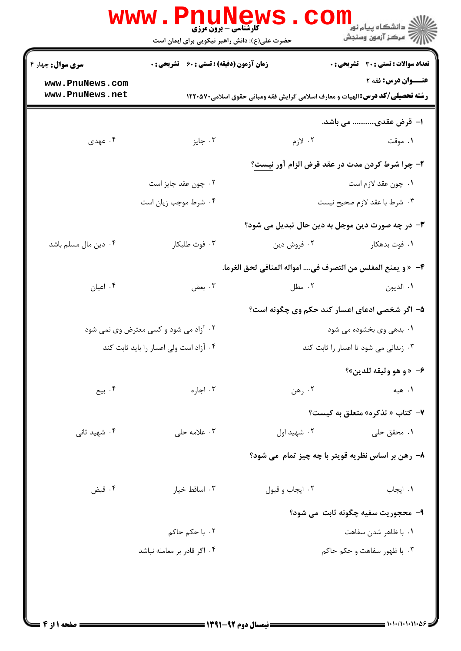|                                    | کارشناسی - برون مرزی<br>حضرت علی(ع): دانش راهبر نیکویی برای ایمان است |                                       | ڪ دانشڪاه پيام نور<br><mark>∕</mark> 7 مرڪز آزمون وسنڊش                                                       |
|------------------------------------|-----------------------------------------------------------------------|---------------------------------------|---------------------------------------------------------------------------------------------------------------|
| <b>سری سوال:</b> چهار ۴            | زمان آزمون (دقیقه) : تستی : 60 ٪ تشریحی : 0                           |                                       | تعداد سوالات : تستي : 30 ٪ تشريحي : 0                                                                         |
| www.PnuNews.com<br>www.PnuNews.net |                                                                       |                                       | عنــوان درس: فقه ۲<br><b>رشته تحصیلی/کد درس:</b> الهیات و معارف اسلامی گرایش فقه ومبانی حقوق اسلامی٧٠٥٧٠ ۱۲۲۰ |
|                                    |                                                                       |                                       | ا– قرض عقدی………… می باشد.                                                                                      |
| ۰۴ عهدی                            | ۰۳ جایز                                                               | ۲. لازم                               | ۰۱ موقت                                                                                                       |
|                                    |                                                                       |                                       | ۲- چرا شرط کردن مدت در عقد قرض الزام آور <u>نیست</u> ؟                                                        |
|                                    | ۰۲ چون عقد جایز است                                                   |                                       | ۰۱ چون عقد لازم است                                                                                           |
|                                    | ۰۴ شرط موجب زيان است                                                  | ٣. شرط با عقد لازم صحيح نيست          |                                                                                                               |
|                                    |                                                                       |                                       | ۳- در چه صورت دین موجل به دین حال تبدیل می شود؟                                                               |
| ۰۴ دین مال مسلم باشد               | ۰۳ فوت طلبکار                                                         | ۰۲ فروش دين                           | ۰۱ فوت بدهکار                                                                                                 |
|                                    |                                                                       |                                       | ۴− « و يمنع المفلس من التصرف في امواله المنافي لحق الغرما.                                                    |
| ۰۴ اعیان                           | ۰۳ بعض                                                                | ۰۲ مطل                                | ٠١. الديون                                                                                                    |
|                                    |                                                                       |                                       | ۵– اگر شخصی ادعای اعسار کند حکم وی چگونه است؟                                                                 |
|                                    | ۰۲ آزاد می شود و کسی معترض وی نمی شود                                 | ۰۱ بدهی وی بخشوده می شود              |                                                                                                               |
|                                    | ۰۴ آزاد است ولی اعسار را باید ثابت کند                                | ۰۳ زندانی می شود تا اعسار را ثابت کند |                                                                                                               |
|                                    |                                                                       |                                       | ۶- «و هو وثيقه للدين»؟                                                                                        |
| ۰۴ بیع                             | ۰۳ اجاره                                                              | ۰۲ رهن                                | ۰۱ هېه                                                                                                        |
|                                    |                                                                       |                                       | ۷- کتاب « تذکره» متعلق به کیست؟                                                                               |
| ۰۴ شهید ثانی                       | ۰۳ علامه حلي                                                          | ۰۲ شهید اول                           | ۰۱ محقق حل <sub>ی</sub>                                                                                       |
|                                    |                                                                       |                                       | ۸- رهن بر اساس نظریه قویتر با چه چیز تمام می شود؟                                                             |
|                                    |                                                                       |                                       |                                                                                                               |
| ۰۴ قبض                             | ۰۳ اساقط خیار                                                         | ٠٢ ايجاب و قبول                       | ۰۱ ایجاب                                                                                                      |
|                                    |                                                                       |                                       | ۹- محجوريت سفيه چگونه ثابت مي شود؟                                                                            |
|                                    | ۰۲ با حکم حاکم                                                        |                                       | ۰۱ با ظاهر شدن سفاهت                                                                                          |
|                                    | ۰۴ اگر قادر بر معامله نباشد                                           |                                       | ۰۳ با ظهور سفاهت و حکم حاکم                                                                                   |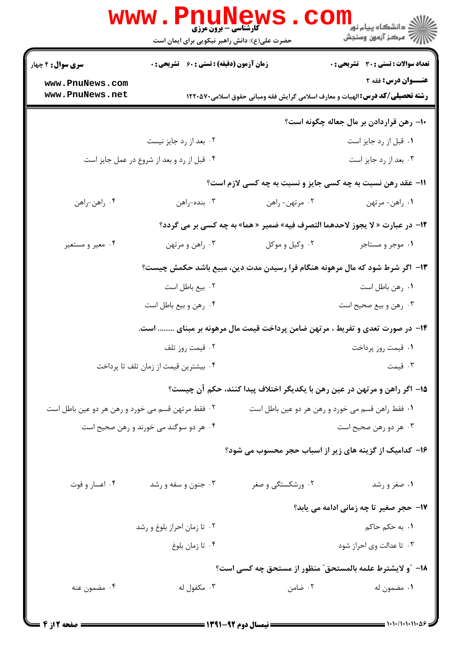|                                                   | حضرت علی(ع): دانش راهبر نیکویی برای ایمان است      | <b>کارشناسی - برون مرزی</b> | ر دانشگاه پيام نو <mark>ر −</mark><br>ار <i>آهر کرد آزمون وسنجش</i>                                                     |
|---------------------------------------------------|----------------------------------------------------|-----------------------------|-------------------------------------------------------------------------------------------------------------------------|
| <b>سری سوال :</b> ۴ چهار                          | <b>زمان آزمون (دقیقه) : تستی : 60 ٪ تشریحی : 0</b> |                             | <b>تعداد سوالات : تستي : 30 ٪ تشريحي : 0</b>                                                                            |
| www.PnuNews.com<br>www.PnuNews.net                |                                                    |                             | <b>عنــوان درس: فقه 2</b><br><b>رشته تحصیلی/کد درس: ا</b> لهیات و معارف اسلامی گرایش فقه ومبانی حقوق اسلامی2000 1۲۲۰۵۷۰ |
|                                                   |                                                    |                             | ۱۰– رهن قراردادن بر مال جعاله چگونه است؟                                                                                |
|                                                   | ۰۲ بعد از رد جایز نیست                             |                             | ۰۱ قبل از رد جایز است                                                                                                   |
|                                                   | ۰۴ قبل از رد و بعد از شروع در عمل جایز است         |                             | ۰۳ بعد از رد جایز است                                                                                                   |
|                                                   |                                                    |                             | 11- عقد رهن نسبت به چه کسی جایز و نسبت به چه کسی لازم است؟                                                              |
| ۰۴ راهن-راهن                                      | ۰۳ بنده-راهن                                       | ۰۲ مرتهن- راهن              | ٠١. راهن- مرتهن                                                                                                         |
|                                                   |                                                    |                             | 12- در عبارت « لا يجوز لاحدهما التصرف فيه» ضمير « هما» به چه كسى بر مى گردد؟                                            |
| ۰۴ معیر و مستعیر                                  | ۰۳ راهن و مرتهن                                    | ۰۲ وکيل و موکل              | ۰۱ موجر و مستاجر                                                                                                        |
|                                                   |                                                    |                             | ۱۳- اگر شرط شود که مال مرهونه هنگام فرا رسیدن مدت دین، مبیع باشد حکمش چیست؟                                             |
|                                                   | ۰۲ بیع باطل است                                    |                             | ٠١ رهن باطل است                                                                                                         |
|                                                   | ۰۴ رهن و بيع باطل است                              |                             | ۰۳ رهن و بيع صحيح است                                                                                                   |
|                                                   |                                                    |                             | ۱۴– در صورت تعدی و تفریط ، مرتهن ضامن پرداخت قیمت مال مرهونه بر مبنای  است.                                             |
|                                                   | ۰۲ قیمت روز تلف                                    |                             | ۰۱ قیمت روز پرداخت                                                                                                      |
|                                                   | ۰۴ بیشترین قیمت از زمان تلف تا پرداخت              |                             | ۰۳ قیمت                                                                                                                 |
|                                                   |                                                    |                             | ۱۵– اگر راهن و مرتهن در عین رهن با یکدیگر اختلاف پیدا کنند، حکم آن چیست؟                                                |
| ۰۲ فقط مرتهن قسم می خورد و رهن هر دو عین باطل است |                                                    |                             | ۰۱ فقط راهن قسم می خورد و رهن هر دو عین باطل است                                                                        |
|                                                   | ۰۴ هر دو سوگند می خورند و رهن صحیح است             |                             | ۰۳ هر دو رهن صحیح است                                                                                                   |
|                                                   |                                                    |                             | ۱۶– کدامیک از گزینه های زیر از اسباب حجر محسوب می شود؟                                                                  |
| ۰۴ اعسار و فوت                                    | ۰۳ جنون و سفه و رشد                                | ۰۲ ورشکستگی و صغر           | ۰۱ صغر و رشد                                                                                                            |
|                                                   |                                                    |                             | ۱۷- حجر صغیر تا چه زمانی ادامه می یابد؟                                                                                 |
|                                                   | ۰۲ تا زمان احراز بلوغ و رشد                        |                             | <b>۱</b> . به حکم حاکم                                                                                                  |
|                                                   | ۰۴ تا زمان بلوغ                                    |                             | ۰۳ تا عدالت وی احراز شود                                                                                                |
|                                                   |                                                    |                             | 18– ″و لایشترط علمه بالمستحق″ منظور از مستحق چه کسی است؟                                                                |
| ۰۴ مضمون عنه                                      | ۰۳ مکفول له                                        | ۰۲ ضامن                     | ۰۱ مضمون له                                                                                                             |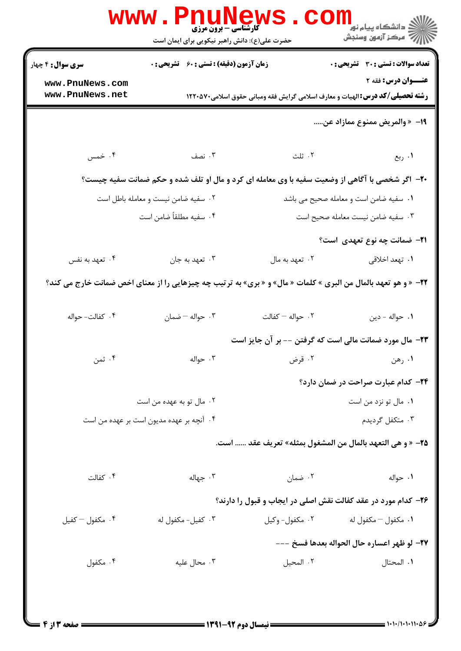| <b>زمان آزمون (دقیقه) : تستی : 60 ٪ تشریحی : 0</b><br>عنــوان درس: فقه ۲<br>www.PnuNews.com<br>www.PnuNews.net<br><b>رشته تحصیلی/کد درس:</b> الهیات و معارف اسلامی گرایش فقه ومبانی حقوق اسلامی۲۲۰۵۷۰<br>19- « والمريض ممنوع ممازاد عن<br>۰۳ نصف<br>۰۲ ثلث<br>۰۴ خمس<br>۰۱ ربع<br><b>-۲-</b> اگر شخصی با آگاهی از وضعیت سفیه با وی معامله ای کرد و مال او تلف شده و حکم ضمانت سفیه چیست؟<br>۰۱ سفیه ضامن است و معامله صحیح می باشد<br>۰۲ سفیه ضامن نیست و معامله باطل است<br>۰۳ سفیه ضامن نیست معامله صحیح است<br>۰۴ سفیه مطلقاً ضامن است<br><b>۲۱</b> – ضمانت چه نوع تعهدی است؟<br>۰۳ تعهد به جان<br>۰۲ تعهد به مال<br>۰۴ تعهد به نفس<br>۰۱ تهعد اخلاقی<br><b>۲۲</b> - « و هو تعهد بالمال من البرى » كلمات « مال» و « برى» به ترتيب چه چيزهايى را از معناى اخص ضمانت خارج مى كند؟<br>٠٢ حواله – كفالت<br>۰۳ حواله - ضمان<br>۰۴ كفالت- حواله<br>٠١ حواله - دين<br>۲۳- مال مورد ضمانت مالی است که گرفتن -- بر آن جایز است<br>۰۴ ثمن<br>۰۲ قرض<br>۰۲ حواله<br>۰۱ رهن<br>۲۴- کدام عبارت صراحت در ضمان دارد؟<br>۰۲ مال تو به عهده من است<br>۰۱ مال تو نزد من است<br>۰۳ متکفل گردیدم<br>۰۴ آنچه بر عهده مدیون است بر عهده من است<br>7۵– « و هي التعهد بالمال من المشغول بمثله» تعريف عقد  است.<br>۰۲ ضمان<br>۰۳ جهاله<br>۰۴ کفالت<br>٠١. حواله<br>۲۶- کدام مورد در عقد کفالت نقش اصلی در ایجاب و قبول را دارند؟<br>۰۴ مکفول – کفیل<br>۰۳ کفیل- مکفول له<br>۰۲ مکفول- وکيل<br>٠١ مكفول – مكفول له |                          | حضرت علی(ع): دانش راهبر نیکویی برای ایمان است | ڪ دانشڪاه پيا <sub>م</sub> نور<br>ر <i>7</i> مرڪز آزمون وسنڊش |
|---------------------------------------------------------------------------------------------------------------------------------------------------------------------------------------------------------------------------------------------------------------------------------------------------------------------------------------------------------------------------------------------------------------------------------------------------------------------------------------------------------------------------------------------------------------------------------------------------------------------------------------------------------------------------------------------------------------------------------------------------------------------------------------------------------------------------------------------------------------------------------------------------------------------------------------------------------------------------------------------------------------------------------------------------------------------------------------------------------------------------------------------------------------------------------------------------------------------------------------------------------------------------------------------------------------------------------------------------------------------------------------------|--------------------------|-----------------------------------------------|---------------------------------------------------------------|
|                                                                                                                                                                                                                                                                                                                                                                                                                                                                                                                                                                                                                                                                                                                                                                                                                                                                                                                                                                                                                                                                                                                                                                                                                                                                                                                                                                                             | <b>سری سوال :</b> ۴ چهار |                                               | تعداد سوالات : تستى : 30 - تشريحي : 0                         |
|                                                                                                                                                                                                                                                                                                                                                                                                                                                                                                                                                                                                                                                                                                                                                                                                                                                                                                                                                                                                                                                                                                                                                                                                                                                                                                                                                                                             |                          |                                               |                                                               |
|                                                                                                                                                                                                                                                                                                                                                                                                                                                                                                                                                                                                                                                                                                                                                                                                                                                                                                                                                                                                                                                                                                                                                                                                                                                                                                                                                                                             |                          |                                               |                                                               |
|                                                                                                                                                                                                                                                                                                                                                                                                                                                                                                                                                                                                                                                                                                                                                                                                                                                                                                                                                                                                                                                                                                                                                                                                                                                                                                                                                                                             |                          |                                               |                                                               |
|                                                                                                                                                                                                                                                                                                                                                                                                                                                                                                                                                                                                                                                                                                                                                                                                                                                                                                                                                                                                                                                                                                                                                                                                                                                                                                                                                                                             |                          |                                               |                                                               |
|                                                                                                                                                                                                                                                                                                                                                                                                                                                                                                                                                                                                                                                                                                                                                                                                                                                                                                                                                                                                                                                                                                                                                                                                                                                                                                                                                                                             |                          |                                               |                                                               |
|                                                                                                                                                                                                                                                                                                                                                                                                                                                                                                                                                                                                                                                                                                                                                                                                                                                                                                                                                                                                                                                                                                                                                                                                                                                                                                                                                                                             |                          |                                               |                                                               |
|                                                                                                                                                                                                                                                                                                                                                                                                                                                                                                                                                                                                                                                                                                                                                                                                                                                                                                                                                                                                                                                                                                                                                                                                                                                                                                                                                                                             |                          |                                               |                                                               |
|                                                                                                                                                                                                                                                                                                                                                                                                                                                                                                                                                                                                                                                                                                                                                                                                                                                                                                                                                                                                                                                                                                                                                                                                                                                                                                                                                                                             |                          |                                               |                                                               |
|                                                                                                                                                                                                                                                                                                                                                                                                                                                                                                                                                                                                                                                                                                                                                                                                                                                                                                                                                                                                                                                                                                                                                                                                                                                                                                                                                                                             |                          |                                               |                                                               |
|                                                                                                                                                                                                                                                                                                                                                                                                                                                                                                                                                                                                                                                                                                                                                                                                                                                                                                                                                                                                                                                                                                                                                                                                                                                                                                                                                                                             |                          |                                               |                                                               |
|                                                                                                                                                                                                                                                                                                                                                                                                                                                                                                                                                                                                                                                                                                                                                                                                                                                                                                                                                                                                                                                                                                                                                                                                                                                                                                                                                                                             |                          |                                               |                                                               |
|                                                                                                                                                                                                                                                                                                                                                                                                                                                                                                                                                                                                                                                                                                                                                                                                                                                                                                                                                                                                                                                                                                                                                                                                                                                                                                                                                                                             |                          |                                               |                                                               |
|                                                                                                                                                                                                                                                                                                                                                                                                                                                                                                                                                                                                                                                                                                                                                                                                                                                                                                                                                                                                                                                                                                                                                                                                                                                                                                                                                                                             |                          |                                               |                                                               |
|                                                                                                                                                                                                                                                                                                                                                                                                                                                                                                                                                                                                                                                                                                                                                                                                                                                                                                                                                                                                                                                                                                                                                                                                                                                                                                                                                                                             |                          |                                               |                                                               |
|                                                                                                                                                                                                                                                                                                                                                                                                                                                                                                                                                                                                                                                                                                                                                                                                                                                                                                                                                                                                                                                                                                                                                                                                                                                                                                                                                                                             |                          |                                               |                                                               |
|                                                                                                                                                                                                                                                                                                                                                                                                                                                                                                                                                                                                                                                                                                                                                                                                                                                                                                                                                                                                                                                                                                                                                                                                                                                                                                                                                                                             |                          |                                               |                                                               |
|                                                                                                                                                                                                                                                                                                                                                                                                                                                                                                                                                                                                                                                                                                                                                                                                                                                                                                                                                                                                                                                                                                                                                                                                                                                                                                                                                                                             |                          |                                               |                                                               |
|                                                                                                                                                                                                                                                                                                                                                                                                                                                                                                                                                                                                                                                                                                                                                                                                                                                                                                                                                                                                                                                                                                                                                                                                                                                                                                                                                                                             |                          |                                               |                                                               |
|                                                                                                                                                                                                                                                                                                                                                                                                                                                                                                                                                                                                                                                                                                                                                                                                                                                                                                                                                                                                                                                                                                                                                                                                                                                                                                                                                                                             |                          |                                               |                                                               |
|                                                                                                                                                                                                                                                                                                                                                                                                                                                                                                                                                                                                                                                                                                                                                                                                                                                                                                                                                                                                                                                                                                                                                                                                                                                                                                                                                                                             |                          |                                               |                                                               |
| ٢٧- لو ظهر اعساره حال الحواله بعدها فسخ ---                                                                                                                                                                                                                                                                                                                                                                                                                                                                                                                                                                                                                                                                                                                                                                                                                                                                                                                                                                                                                                                                                                                                                                                                                                                                                                                                                 |                          |                                               |                                                               |
| ۰۳ محال علیه<br>۰۴ مکفول<br>٢. المحيل<br>٠١. المحتال                                                                                                                                                                                                                                                                                                                                                                                                                                                                                                                                                                                                                                                                                                                                                                                                                                                                                                                                                                                                                                                                                                                                                                                                                                                                                                                                        |                          |                                               |                                                               |